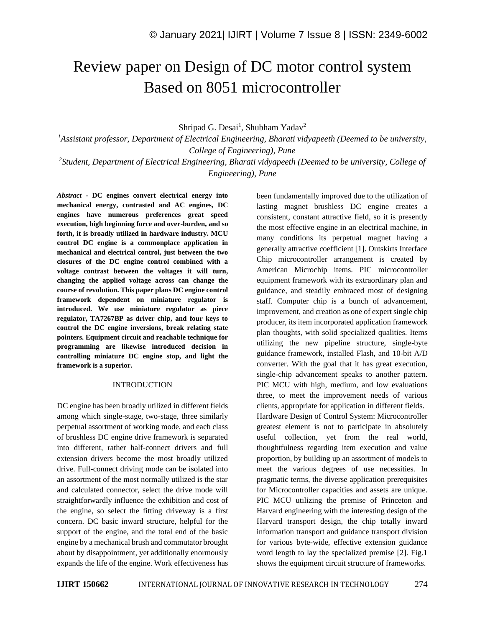# Review paper on Design of DC motor control system Based on 8051 microcontroller

Shripad G. Desai<sup>1</sup>, Shubham Yadav<sup>2</sup>

*<sup>1</sup>Assistant professor, Department of Electrical Engineering, Bharati vidyapeeth (Deemed to be university, College of Engineering), Pune*

*2 Student, Department of Electrical Engineering, Bharati vidyapeeth (Deemed to be university, College of Engineering), Pune*

*Abstract -* **DC engines convert electrical energy into mechanical energy, contrasted and AC engines, DC engines have numerous preferences great speed execution, high beginning force and over-burden, and so forth, it is broadly utilized in hardware industry. MCU control DC engine is a commonplace application in mechanical and electrical control, just between the two closures of the DC engine control combined with a voltage contrast between the voltages it will turn, changing the applied voltage across can change the course of revolution. This paper plans DC engine control framework dependent on miniature regulator is introduced. We use miniature regulator as piece regulator, TA7267BP as driver chip, and four keys to control the DC engine inversions, break relating state pointers. Equipment circuit and reachable technique for programming are likewise introduced decision in controlling miniature DC engine stop, and light the framework is a superior.**

#### INTRODUCTION

DC engine has been broadly utilized in different fields among which single-stage, two-stage, three similarly perpetual assortment of working mode, and each class of brushless DC engine drive framework is separated into different, rather half-connect drivers and full extension drivers become the most broadly utilized drive. Full-connect driving mode can be isolated into an assortment of the most normally utilized is the star and calculated connector, select the drive mode will straightforwardly influence the exhibition and cost of the engine, so select the fitting driveway is a first concern. DC basic inward structure, helpful for the support of the engine, and the total end of the basic engine by a mechanical brush and commutator brought about by disappointment, yet additionally enormously expands the life of the engine. Work effectiveness has been fundamentally improved due to the utilization of lasting magnet brushless DC engine creates a consistent, constant attractive field, so it is presently the most effective engine in an electrical machine, in many conditions its perpetual magnet having a generally attractive coefficient [1]. Outskirts Interface Chip microcontroller arrangement is created by American Microchip items. PIC microcontroller equipment framework with its extraordinary plan and guidance, and steadily embraced most of designing staff. Computer chip is a bunch of advancement, improvement, and creation as one of expert single chip producer, its item incorporated application framework plan thoughts, with solid specialized qualities. Items utilizing the new pipeline structure, single-byte guidance framework, installed Flash, and 10-bit A/D converter. With the goal that it has great execution, single-chip advancement speaks to another pattern. PIC MCU with high, medium, and low evaluations three, to meet the improvement needs of various clients, appropriate for application in different fields. Hardware Design of Control System: Microcontroller greatest element is not to participate in absolutely useful collection, yet from the real world, thoughtfulness regarding item execution and value

proportion, by building up an assortment of models to meet the various degrees of use necessities. In pragmatic terms, the diverse application prerequisites for Microcontroller capacities and assets are unique. PIC MCU utilizing the premise of Princeton and Harvard engineering with the interesting design of the Harvard transport design, the chip totally inward information transport and guidance transport division for various byte-wide, effective extension guidance word length to lay the specialized premise [2]. Fig.1 shows the equipment circuit structure of frameworks.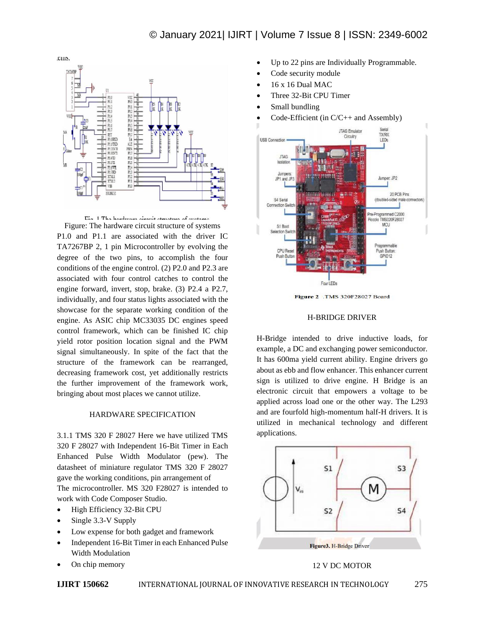



Figure: The hardware circuit structure of systems P1.0 and P1.1 are associated with the driver IC TA7267BP 2, 1 pin Microcontroller by evolving the degree of the two pins, to accomplish the four conditions of the engine control. (2) P2.0 and P2.3 are associated with four control catches to control the engine forward, invert, stop, brake. (3) P2.4 a P2.7, individually, and four status lights associated with the showcase for the separate working condition of the engine. As ASIC chip MC33035 DC engines speed control framework, which can be finished IC chip yield rotor position location signal and the PWM signal simultaneously. In spite of the fact that the structure of the framework can be rearranged, decreasing framework cost, yet additionally restricts the further improvement of the framework work, bringing about most places we cannot utilize.

#### HARDWARE SPECIFICATION

3.1.1 TMS 320 F 28027 Here we have utilized TMS 320 F 28027 with Independent 16-Bit Timer in Each Enhanced Pulse Width Modulator (pew). The datasheet of miniature regulator TMS 320 F 28027 gave the working conditions, pin arrangement of The microcontroller. MS 320 F28027 is intended to work with Code Composer Studio.

- High Efficiency 32-Bit CPU
- Single 3.3-V Supply
- Low expense for both gadget and framework
- Independent 16-Bit Timer in each Enhanced Pulse Width Modulation
- On chip memory
- Up to 22 pins are Individually Programmable.
- Code security module
- 16 x 16 Dual MAC
- Three 32-Bit CPU Timer
- Small bundling
- Code-Efficient (in C/C++ and Assembly)



Figure 2 .TMS 320F28027 Board

#### H-BRIDGE DRIVER

H-Bridge intended to drive inductive loads, for example, a DC and exchanging power semiconductor. It has 600ma yield current ability. Engine drivers go about as ebb and flow enhancer. This enhancer current sign is utilized to drive engine. H Bridge is an electronic circuit that empowers a voltage to be applied across load one or the other way. The L293 and are fourfold high-momentum half-H drivers. It is utilized in mechanical technology and different applications.



## 12 V DC MOTOR